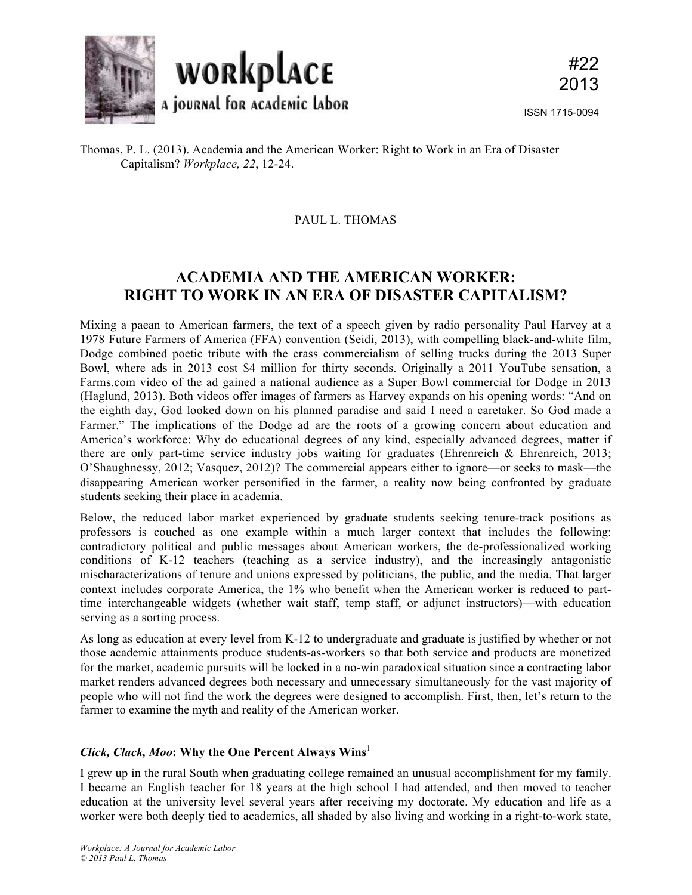

Thomas, P. L. (2013). Academia and the American Worker: Right to Work in an Era of Disaster Capitalism? *Workplace, 22*, 12-24.

### PAUL L. THOMAS

# **ACADEMIA AND THE AMERICAN WORKER: RIGHT TO WORK IN AN ERA OF DISASTER CAPITALISM?**

Mixing a paean to American farmers, the text of a speech given by radio personality Paul Harvey at a 1978 Future Farmers of America (FFA) convention (Seidi, 2013), with compelling black-and-white film, Dodge combined poetic tribute with the crass commercialism of selling trucks during the 2013 Super Bowl, where ads in 2013 cost \$4 million for thirty seconds. Originally a 2011 YouTube sensation, a Farms.com video of the ad gained a national audience as a Super Bowl commercial for Dodge in 2013 (Haglund, 2013). Both videos offer images of farmers as Harvey expands on his opening words: "And on the eighth day, God looked down on his planned paradise and said I need a caretaker. So God made a Farmer." The implications of the Dodge ad are the roots of a growing concern about education and America's workforce: Why do educational degrees of any kind, especially advanced degrees, matter if there are only part-time service industry jobs waiting for graduates (Ehrenreich  $\&$  Ehrenreich, 2013; O'Shaughnessy, 2012; Vasquez, 2012)? The commercial appears either to ignore—or seeks to mask—the disappearing American worker personified in the farmer, a reality now being confronted by graduate students seeking their place in academia.

Below, the reduced labor market experienced by graduate students seeking tenure-track positions as professors is couched as one example within a much larger context that includes the following: contradictory political and public messages about American workers, the de-professionalized working conditions of K-12 teachers (teaching as a service industry), and the increasingly antagonistic mischaracterizations of tenure and unions expressed by politicians, the public, and the media. That larger context includes corporate America, the 1% who benefit when the American worker is reduced to parttime interchangeable widgets (whether wait staff, temp staff, or adjunct instructors)—with education serving as a sorting process.

As long as education at every level from K-12 to undergraduate and graduate is justified by whether or not those academic attainments produce students-as-workers so that both service and products are monetized for the market, academic pursuits will be locked in a no-win paradoxical situation since a contracting labor market renders advanced degrees both necessary and unnecessary simultaneously for the vast majority of people who will not find the work the degrees were designed to accomplish. First, then, let's return to the farmer to examine the myth and reality of the American worker.

# *Click, Clack, Moo***: Why the One Percent Always Wins**<sup>1</sup>

I grew up in the rural South when graduating college remained an unusual accomplishment for my family. I became an English teacher for 18 years at the high school I had attended, and then moved to teacher education at the university level several years after receiving my doctorate. My education and life as a worker were both deeply tied to academics, all shaded by also living and working in a right-to-work state,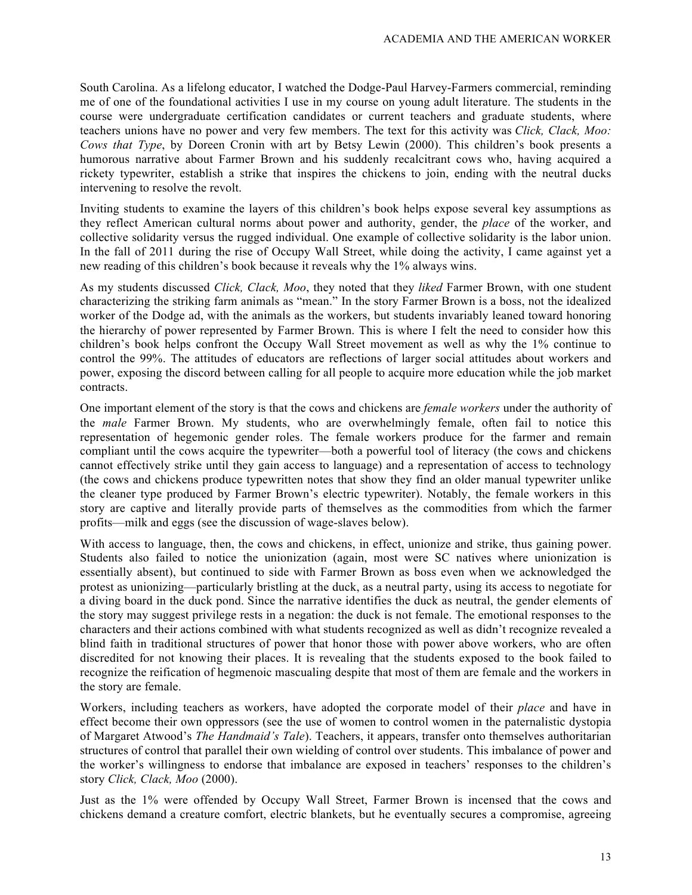South Carolina. As a lifelong educator, I watched the Dodge-Paul Harvey-Farmers commercial, reminding me of one of the foundational activities I use in my course on young adult literature. The students in the course were undergraduate certification candidates or current teachers and graduate students, where teachers unions have no power and very few members. The text for this activity was *Click, Clack, Moo: Cows that Type*, by Doreen Cronin with art by Betsy Lewin (2000). This children's book presents a humorous narrative about Farmer Brown and his suddenly recalcitrant cows who, having acquired a rickety typewriter, establish a strike that inspires the chickens to join, ending with the neutral ducks intervening to resolve the revolt.

Inviting students to examine the layers of this children's book helps expose several key assumptions as they reflect American cultural norms about power and authority, gender, the *place* of the worker, and collective solidarity versus the rugged individual. One example of collective solidarity is the labor union. In the fall of 2011 during the rise of Occupy Wall Street, while doing the activity, I came against yet a new reading of this children's book because it reveals why the 1% always wins.

As my students discussed *Click, Clack, Moo*, they noted that they *liked* Farmer Brown, with one student characterizing the striking farm animals as "mean." In the story Farmer Brown is a boss, not the idealized worker of the Dodge ad, with the animals as the workers, but students invariably leaned toward honoring the hierarchy of power represented by Farmer Brown. This is where I felt the need to consider how this children's book helps confront the Occupy Wall Street movement as well as why the 1% continue to control the 99%. The attitudes of educators are reflections of larger social attitudes about workers and power, exposing the discord between calling for all people to acquire more education while the job market contracts.

One important element of the story is that the cows and chickens are *female workers* under the authority of the *male* Farmer Brown. My students, who are overwhelmingly female, often fail to notice this representation of hegemonic gender roles. The female workers produce for the farmer and remain compliant until the cows acquire the typewriter—both a powerful tool of literacy (the cows and chickens cannot effectively strike until they gain access to language) and a representation of access to technology (the cows and chickens produce typewritten notes that show they find an older manual typewriter unlike the cleaner type produced by Farmer Brown's electric typewriter). Notably, the female workers in this story are captive and literally provide parts of themselves as the commodities from which the farmer profits—milk and eggs (see the discussion of wage-slaves below).

With access to language, then, the cows and chickens, in effect, unionize and strike, thus gaining power. Students also failed to notice the unionization (again, most were SC natives where unionization is essentially absent), but continued to side with Farmer Brown as boss even when we acknowledged the protest as unionizing—particularly bristling at the duck, as a neutral party, using its access to negotiate for a diving board in the duck pond. Since the narrative identifies the duck as neutral, the gender elements of the story may suggest privilege rests in a negation: the duck is not female. The emotional responses to the characters and their actions combined with what students recognized as well as didn't recognize revealed a blind faith in traditional structures of power that honor those with power above workers, who are often discredited for not knowing their places. It is revealing that the students exposed to the book failed to recognize the reification of hegmenoic mascualing despite that most of them are female and the workers in the story are female.

Workers, including teachers as workers, have adopted the corporate model of their *place* and have in effect become their own oppressors (see the use of women to control women in the paternalistic dystopia of Margaret Atwood's *The Handmaid's Tale*). Teachers, it appears, transfer onto themselves authoritarian structures of control that parallel their own wielding of control over students. This imbalance of power and the worker's willingness to endorse that imbalance are exposed in teachers' responses to the children's story *Click, Clack, Moo* (2000).

Just as the 1% were offended by Occupy Wall Street, Farmer Brown is incensed that the cows and chickens demand a creature comfort, electric blankets, but he eventually secures a compromise, agreeing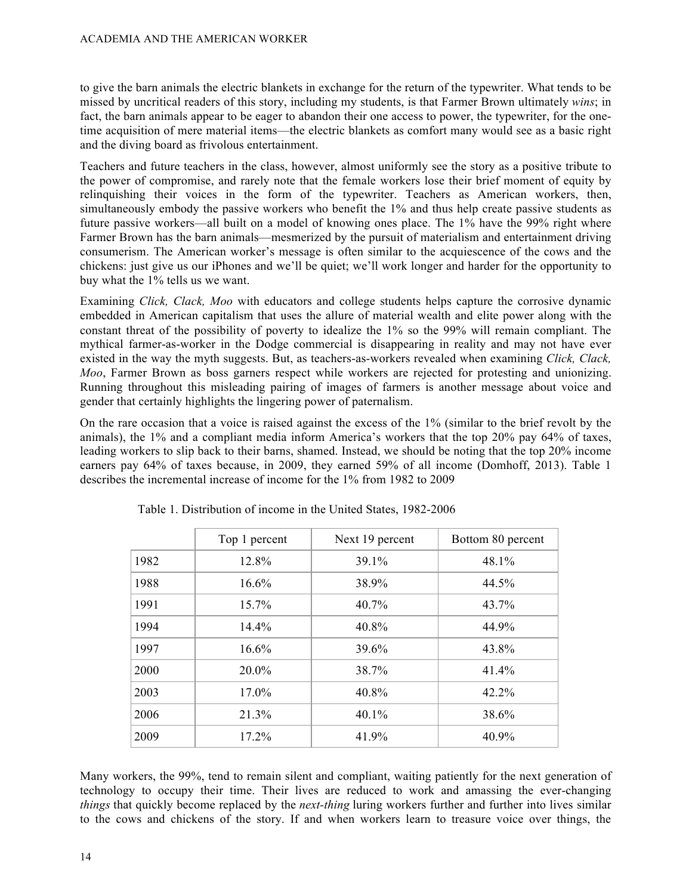to give the barn animals the electric blankets in exchange for the return of the typewriter. What tends to be missed by uncritical readers of this story, including my students, is that Farmer Brown ultimately *wins*; in fact, the barn animals appear to be eager to abandon their one access to power, the typewriter, for the onetime acquisition of mere material items—the electric blankets as comfort many would see as a basic right and the diving board as frivolous entertainment.

Teachers and future teachers in the class, however, almost uniformly see the story as a positive tribute to the power of compromise, and rarely note that the female workers lose their brief moment of equity by relinquishing their voices in the form of the typewriter. Teachers as American workers, then, simultaneously embody the passive workers who benefit the 1% and thus help create passive students as future passive workers—all built on a model of knowing ones place. The 1% have the 99% right where Farmer Brown has the barn animals—mesmerized by the pursuit of materialism and entertainment driving consumerism. The American worker's message is often similar to the acquiescence of the cows and the chickens: just give us our iPhones and we'll be quiet; we'll work longer and harder for the opportunity to buy what the 1% tells us we want.

Examining *Click, Clack, Moo* with educators and college students helps capture the corrosive dynamic embedded in American capitalism that uses the allure of material wealth and elite power along with the constant threat of the possibility of poverty to idealize the 1% so the 99% will remain compliant. The mythical farmer-as-worker in the Dodge commercial is disappearing in reality and may not have ever existed in the way the myth suggests. But, as teachers-as-workers revealed when examining *Click, Clack, Moo*, Farmer Brown as boss garners respect while workers are rejected for protesting and unionizing. Running throughout this misleading pairing of images of farmers is another message about voice and gender that certainly highlights the lingering power of paternalism.

On the rare occasion that a voice is raised against the excess of the 1% (similar to the brief revolt by the animals), the 1% and a compliant media inform America's workers that the top 20% pay 64% of taxes, leading workers to slip back to their barns, shamed. Instead, we should be noting that the top 20% income earners pay 64% of taxes because, in 2009, they earned 59% of all income (Domhoff, 2013). Table 1 describes the incremental increase of income for the 1% from 1982 to 2009

|      | Top 1 percent | Next 19 percent | Bottom 80 percent |
|------|---------------|-----------------|-------------------|
| 1982 | 12.8%         | 39.1%           | 48.1%             |
| 1988 | 16.6%         | 38.9%           | 44.5%             |
| 1991 | 15.7%         | 40.7%           | 43.7%             |
| 1994 | 14.4%         | 40.8%           | 44.9%             |
| 1997 | 16.6%         | 39.6%           | 43.8%             |
| 2000 | 20.0%         | 38.7%           | 41.4%             |
| 2003 | 17.0%         | 40.8%           | 42.2%             |
| 2006 | 21.3%         | 40.1%           | 38.6%             |
| 2009 | 17.2%         | 41.9%           | 40.9%             |

Table 1. Distribution of income in the United States, 1982-2006

Many workers, the 99%, tend to remain silent and compliant, waiting patiently for the next generation of technology to occupy their time. Their lives are reduced to work and amassing the ever-changing *things* that quickly become replaced by the *next-thing* luring workers further and further into lives similar to the cows and chickens of the story. If and when workers learn to treasure voice over things, the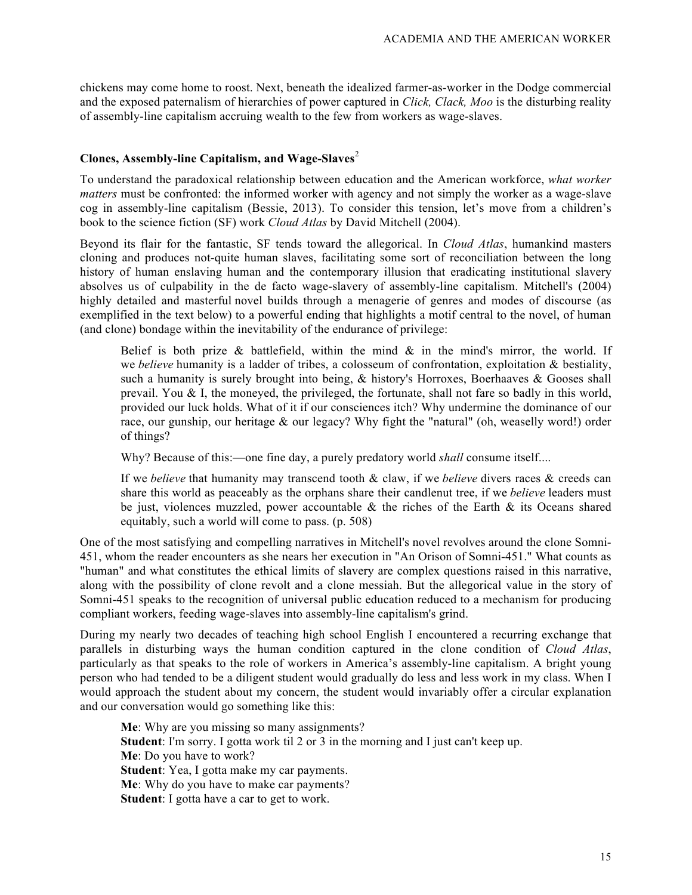chickens may come home to roost. Next, beneath the idealized farmer-as-worker in the Dodge commercial and the exposed paternalism of hierarchies of power captured in *Click, Clack, Moo* is the disturbing reality of assembly-line capitalism accruing wealth to the few from workers as wage-slaves.

#### **Clones, Assembly-line Capitalism, and Wage-Slaves**<sup>2</sup>

To understand the paradoxical relationship between education and the American workforce, *what worker matters* must be confronted: the informed worker with agency and not simply the worker as a wage-slave cog in assembly-line capitalism (Bessie, 2013). To consider this tension, let's move from a children's book to the science fiction (SF) work *Cloud Atlas* by David Mitchell (2004).

Beyond its flair for the fantastic, SF tends toward the allegorical. In *Cloud Atlas*, humankind masters cloning and produces not-quite human slaves, facilitating some sort of reconciliation between the long history of human enslaving human and the contemporary illusion that eradicating institutional slavery absolves us of culpability in the de facto wage-slavery of assembly-line capitalism. Mitchell's (2004) highly detailed and masterful novel builds through a menagerie of genres and modes of discourse (as exemplified in the text below) to a powerful ending that highlights a motif central to the novel, of human (and clone) bondage within the inevitability of the endurance of privilege:

Belief is both prize  $\&$  battlefield, within the mind  $\&$  in the mind's mirror, the world. If we *believe* humanity is a ladder of tribes, a colosseum of confrontation, exploitation & bestiality, such a humanity is surely brought into being, & history's Horroxes, Boerhaaves & Gooses shall prevail. You  $&$  I, the moneyed, the privileged, the fortunate, shall not fare so badly in this world, provided our luck holds. What of it if our consciences itch? Why undermine the dominance of our race, our gunship, our heritage & our legacy? Why fight the "natural" (oh, weaselly word!) order of things?

Why? Because of this:—one fine day, a purely predatory world *shall* consume itself....

If we *believe* that humanity may transcend tooth & claw, if we *believe* divers races & creeds can share this world as peaceably as the orphans share their candlenut tree, if we *believe* leaders must be just, violences muzzled, power accountable  $\&$  the riches of the Earth  $\&$  its Oceans shared equitably, such a world will come to pass. (p. 508)

One of the most satisfying and compelling narratives in Mitchell's novel revolves around the clone Somni-451, whom the reader encounters as she nears her execution in "An Orison of Somni-451." What counts as "human" and what constitutes the ethical limits of slavery are complex questions raised in this narrative, along with the possibility of clone revolt and a clone messiah. But the allegorical value in the story of Somni-451 speaks to the recognition of universal public education reduced to a mechanism for producing compliant workers, feeding wage-slaves into assembly-line capitalism's grind.

During my nearly two decades of teaching high school English I encountered a recurring exchange that parallels in disturbing ways the human condition captured in the clone condition of *Cloud Atlas*, particularly as that speaks to the role of workers in America's assembly-line capitalism. A bright young person who had tended to be a diligent student would gradually do less and less work in my class. When I would approach the student about my concern, the student would invariably offer a circular explanation and our conversation would go something like this:

**Me**: Why are you missing so many assignments? **Student**: I'm sorry. I gotta work til 2 or 3 in the morning and I just can't keep up. **Me**: Do you have to work? **Student**: Yea, I gotta make my car payments. **Me**: Why do you have to make car payments? **Student**: I gotta have a car to get to work.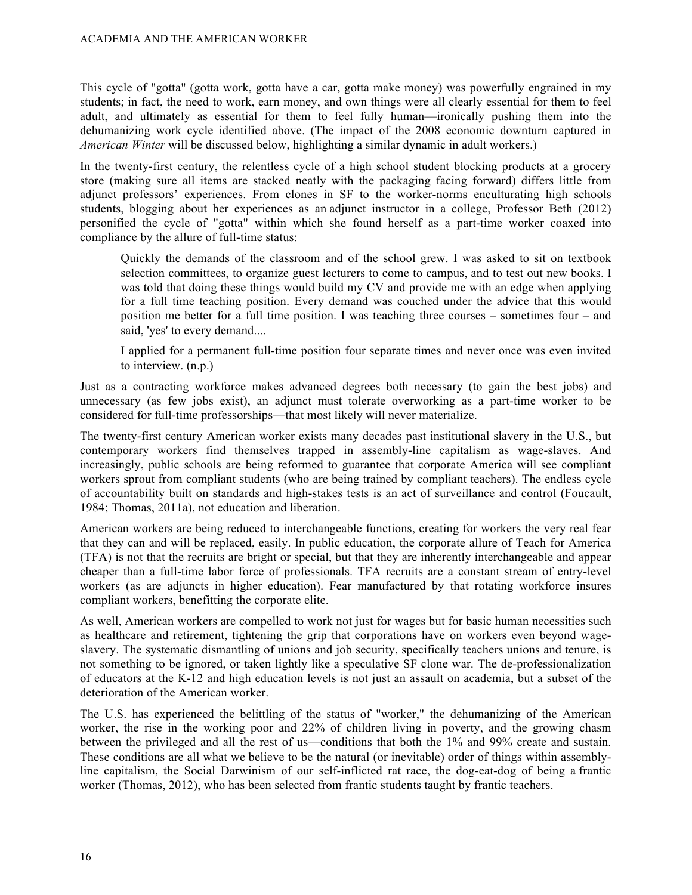This cycle of "gotta" (gotta work, gotta have a car, gotta make money) was powerfully engrained in my students; in fact, the need to work, earn money, and own things were all clearly essential for them to feel adult, and ultimately as essential for them to feel fully human—ironically pushing them into the dehumanizing work cycle identified above. (The impact of the 2008 economic downturn captured in *American Winter* will be discussed below, highlighting a similar dynamic in adult workers.)

In the twenty-first century, the relentless cycle of a high school student blocking products at a grocery store (making sure all items are stacked neatly with the packaging facing forward) differs little from adjunct professors' experiences. From clones in SF to the worker-norms enculturating high schools students, blogging about her experiences as an adjunct instructor in a college, Professor Beth (2012) personified the cycle of "gotta" within which she found herself as a part-time worker coaxed into compliance by the allure of full-time status:

Quickly the demands of the classroom and of the school grew. I was asked to sit on textbook selection committees, to organize guest lecturers to come to campus, and to test out new books. I was told that doing these things would build my CV and provide me with an edge when applying for a full time teaching position. Every demand was couched under the advice that this would position me better for a full time position. I was teaching three courses – sometimes four – and said, 'yes' to every demand....

I applied for a permanent full-time position four separate times and never once was even invited to interview. (n.p.)

Just as a contracting workforce makes advanced degrees both necessary (to gain the best jobs) and unnecessary (as few jobs exist), an adjunct must tolerate overworking as a part-time worker to be considered for full-time professorships—that most likely will never materialize.

The twenty-first century American worker exists many decades past institutional slavery in the U.S., but contemporary workers find themselves trapped in assembly-line capitalism as wage-slaves. And increasingly, public schools are being reformed to guarantee that corporate America will see compliant workers sprout from compliant students (who are being trained by compliant teachers). The endless cycle of accountability built on standards and high-stakes tests is an act of surveillance and control (Foucault, 1984; Thomas, 2011a), not education and liberation.

American workers are being reduced to interchangeable functions, creating for workers the very real fear that they can and will be replaced, easily. In public education, the corporate allure of Teach for America (TFA) is not that the recruits are bright or special, but that they are inherently interchangeable and appear cheaper than a full-time labor force of professionals. TFA recruits are a constant stream of entry-level workers (as are adjuncts in higher education). Fear manufactured by that rotating workforce insures compliant workers, benefitting the corporate elite.

As well, American workers are compelled to work not just for wages but for basic human necessities such as healthcare and retirement, tightening the grip that corporations have on workers even beyond wageslavery. The systematic dismantling of unions and job security, specifically teachers unions and tenure, is not something to be ignored, or taken lightly like a speculative SF clone war. The de-professionalization of educators at the K-12 and high education levels is not just an assault on academia, but a subset of the deterioration of the American worker.

The U.S. has experienced the belittling of the status of "worker," the dehumanizing of the American worker, the rise in the working poor and 22% of children living in poverty, and the growing chasm between the privileged and all the rest of us—conditions that both the 1% and 99% create and sustain. These conditions are all what we believe to be the natural (or inevitable) order of things within assemblyline capitalism, the Social Darwinism of our self-inflicted rat race, the dog-eat-dog of being a frantic worker (Thomas, 2012), who has been selected from frantic students taught by frantic teachers.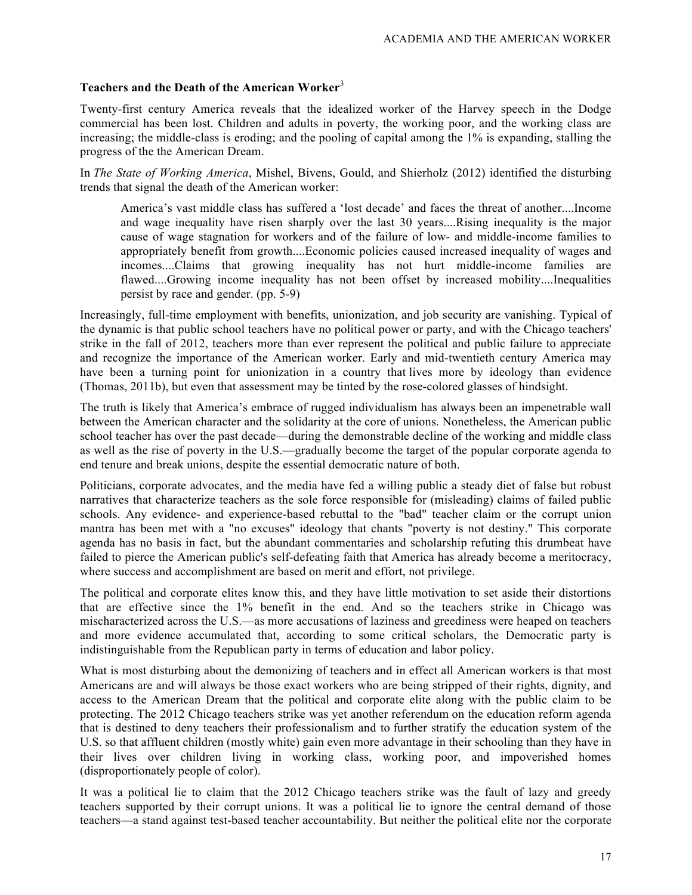# **Teachers and the Death of the American Worker**<sup>3</sup>

Twenty-first century America reveals that the idealized worker of the Harvey speech in the Dodge commercial has been lost. Children and adults in poverty, the working poor, and the working class are increasing; the middle-class is eroding; and the pooling of capital among the 1% is expanding, stalling the progress of the the American Dream.

In *The State of Working America*, Mishel, Bivens, Gould, and Shierholz (2012) identified the disturbing trends that signal the death of the American worker:

America's vast middle class has suffered a 'lost decade' and faces the threat of another....Income and wage inequality have risen sharply over the last 30 years....Rising inequality is the major cause of wage stagnation for workers and of the failure of low- and middle-income families to appropriately benefit from growth....Economic policies caused increased inequality of wages and incomes....Claims that growing inequality has not hurt middle-income families are flawed....Growing income inequality has not been offset by increased mobility....Inequalities persist by race and gender. (pp. 5-9)

Increasingly, full-time employment with benefits, unionization, and job security are vanishing. Typical of the dynamic is that public school teachers have no political power or party, and with the Chicago teachers' strike in the fall of 2012, teachers more than ever represent the political and public failure to appreciate and recognize the importance of the American worker. Early and mid-twentieth century America may have been a turning point for unionization in a country that lives more by ideology than evidence (Thomas, 2011b), but even that assessment may be tinted by the rose-colored glasses of hindsight.

The truth is likely that America's embrace of rugged individualism has always been an impenetrable wall between the American character and the solidarity at the core of unions. Nonetheless, the American public school teacher has over the past decade—during the demonstrable decline of the working and middle class as well as the rise of poverty in the U.S.—gradually become the target of the popular corporate agenda to end tenure and break unions, despite the essential democratic nature of both.

Politicians, corporate advocates, and the media have fed a willing public a steady diet of false but robust narratives that characterize teachers as the sole force responsible for (misleading) claims of failed public schools. Any evidence- and experience-based rebuttal to the "bad" teacher claim or the corrupt union mantra has been met with a "no excuses" ideology that chants "poverty is not destiny." This corporate agenda has no basis in fact, but the abundant commentaries and scholarship refuting this drumbeat have failed to pierce the American public's self-defeating faith that America has already become a meritocracy, where success and accomplishment are based on merit and effort, not privilege.

The political and corporate elites know this, and they have little motivation to set aside their distortions that are effective since the 1% benefit in the end. And so the teachers strike in Chicago was mischaracterized across the U.S.—as more accusations of laziness and greediness were heaped on teachers and more evidence accumulated that, according to some critical scholars, the Democratic party is indistinguishable from the Republican party in terms of education and labor policy.

What is most disturbing about the demonizing of teachers and in effect all American workers is that most Americans are and will always be those exact workers who are being stripped of their rights, dignity, and access to the American Dream that the political and corporate elite along with the public claim to be protecting. The 2012 Chicago teachers strike was yet another referendum on the education reform agenda that is destined to deny teachers their professionalism and to further stratify the education system of the U.S. so that affluent children (mostly white) gain even more advantage in their schooling than they have in their lives over children living in working class, working poor, and impoverished homes (disproportionately people of color).

It was a political lie to claim that the 2012 Chicago teachers strike was the fault of lazy and greedy teachers supported by their corrupt unions. It was a political lie to ignore the central demand of those teachers—a stand against test-based teacher accountability. But neither the political elite nor the corporate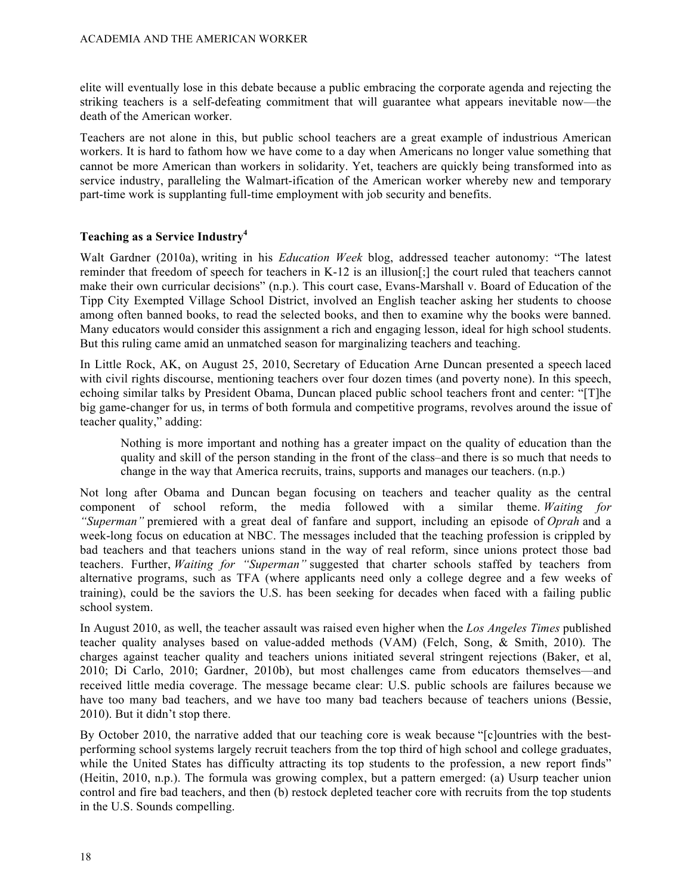elite will eventually lose in this debate because a public embracing the corporate agenda and rejecting the striking teachers is a self-defeating commitment that will guarantee what appears inevitable now—the death of the American worker.

Teachers are not alone in this, but public school teachers are a great example of industrious American workers. It is hard to fathom how we have come to a day when Americans no longer value something that cannot be more American than workers in solidarity. Yet, teachers are quickly being transformed into as service industry, paralleling the Walmart-ification of the American worker whereby new and temporary part-time work is supplanting full-time employment with job security and benefits.

### **Teaching as a Service Industry4**

Walt Gardner (2010a), writing in his *Education Week* blog, addressed teacher autonomy: "The latest reminder that freedom of speech for teachers in K-12 is an illusion[;] the court ruled that teachers cannot make their own curricular decisions" (n.p.). This court case, Evans-Marshall v. Board of Education of the Tipp City Exempted Village School District, involved an English teacher asking her students to choose among often banned books, to read the selected books, and then to examine why the books were banned. Many educators would consider this assignment a rich and engaging lesson, ideal for high school students. But this ruling came amid an unmatched season for marginalizing teachers and teaching.

In Little Rock, AK, on August 25, 2010, Secretary of Education Arne Duncan presented a speech laced with civil rights discourse, mentioning teachers over four dozen times (and poverty none). In this speech, echoing similar talks by President Obama, Duncan placed public school teachers front and center: "[T]he big game-changer for us, in terms of both formula and competitive programs, revolves around the issue of teacher quality," adding:

Nothing is more important and nothing has a greater impact on the quality of education than the quality and skill of the person standing in the front of the class–and there is so much that needs to change in the way that America recruits, trains, supports and manages our teachers. (n.p.)

Not long after Obama and Duncan began focusing on teachers and teacher quality as the central component of school reform, the media followed with a similar theme. *Waiting for "Superman"* premiered with a great deal of fanfare and support, including an episode of *Oprah* and a week-long focus on education at NBC. The messages included that the teaching profession is crippled by bad teachers and that teachers unions stand in the way of real reform, since unions protect those bad teachers. Further, *Waiting for "Superman"* suggested that charter schools staffed by teachers from alternative programs, such as TFA (where applicants need only a college degree and a few weeks of training), could be the saviors the U.S. has been seeking for decades when faced with a failing public school system.

In August 2010, as well, the teacher assault was raised even higher when the *Los Angeles Times* published teacher quality analyses based on value-added methods (VAM) (Felch, Song, & Smith, 2010). The charges against teacher quality and teachers unions initiated several stringent rejections (Baker, et al, 2010; Di Carlo, 2010; Gardner, 2010b), but most challenges came from educators themselves—and received little media coverage. The message became clear: U.S. public schools are failures because we have too many bad teachers, and we have too many bad teachers because of teachers unions (Bessie, 2010). But it didn't stop there.

By October 2010, the narrative added that our teaching core is weak because "[c]ountries with the bestperforming school systems largely recruit teachers from the top third of high school and college graduates, while the United States has difficulty attracting its top students to the profession, a new report finds" (Heitin, 2010, n.p.). The formula was growing complex, but a pattern emerged: (a) Usurp teacher union control and fire bad teachers, and then (b) restock depleted teacher core with recruits from the top students in the U.S. Sounds compelling.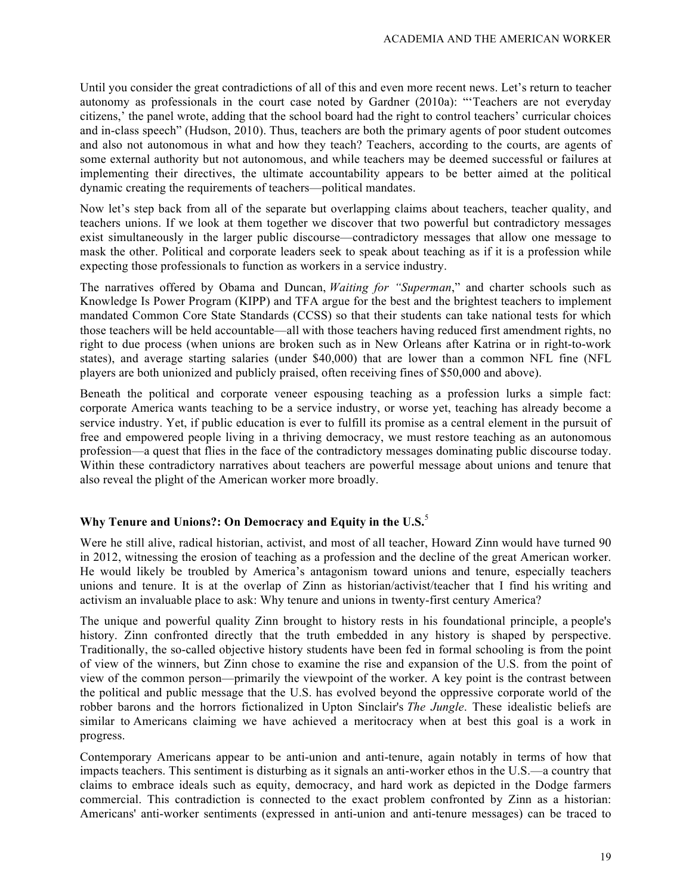Until you consider the great contradictions of all of this and even more recent news. Let's return to teacher autonomy as professionals in the court case noted by Gardner (2010a): "'Teachers are not everyday citizens,' the panel wrote, adding that the school board had the right to control teachers' curricular choices and in-class speech" (Hudson, 2010). Thus, teachers are both the primary agents of poor student outcomes and also not autonomous in what and how they teach? Teachers, according to the courts, are agents of some external authority but not autonomous, and while teachers may be deemed successful or failures at implementing their directives, the ultimate accountability appears to be better aimed at the political dynamic creating the requirements of teachers—political mandates.

Now let's step back from all of the separate but overlapping claims about teachers, teacher quality, and teachers unions. If we look at them together we discover that two powerful but contradictory messages exist simultaneously in the larger public discourse—contradictory messages that allow one message to mask the other. Political and corporate leaders seek to speak about teaching as if it is a profession while expecting those professionals to function as workers in a service industry.

The narratives offered by Obama and Duncan, *Waiting for "Superman*," and charter schools such as Knowledge Is Power Program (KIPP) and TFA argue for the best and the brightest teachers to implement mandated Common Core State Standards (CCSS) so that their students can take national tests for which those teachers will be held accountable—all with those teachers having reduced first amendment rights, no right to due process (when unions are broken such as in New Orleans after Katrina or in right-to-work states), and average starting salaries (under \$40,000) that are lower than a common NFL fine (NFL players are both unionized and publicly praised, often receiving fines of \$50,000 and above).

Beneath the political and corporate veneer espousing teaching as a profession lurks a simple fact: corporate America wants teaching to be a service industry, or worse yet, teaching has already become a service industry. Yet, if public education is ever to fulfill its promise as a central element in the pursuit of free and empowered people living in a thriving democracy, we must restore teaching as an autonomous profession—a quest that flies in the face of the contradictory messages dominating public discourse today. Within these contradictory narratives about teachers are powerful message about unions and tenure that also reveal the plight of the American worker more broadly.

# **Why Tenure and Unions?: On Democracy and Equity in the U.S.**<sup>5</sup>

Were he still alive, radical historian, activist, and most of all teacher, Howard Zinn would have turned 90 in 2012, witnessing the erosion of teaching as a profession and the decline of the great American worker. He would likely be troubled by America's antagonism toward unions and tenure, especially teachers unions and tenure. It is at the overlap of Zinn as historian/activist/teacher that I find his writing and activism an invaluable place to ask: Why tenure and unions in twenty-first century America?

The unique and powerful quality Zinn brought to history rests in his foundational principle, a people's history. Zinn confronted directly that the truth embedded in any history is shaped by perspective. Traditionally, the so-called objective history students have been fed in formal schooling is from the point of view of the winners, but Zinn chose to examine the rise and expansion of the U.S. from the point of view of the common person—primarily the viewpoint of the worker. A key point is the contrast between the political and public message that the U.S. has evolved beyond the oppressive corporate world of the robber barons and the horrors fictionalized in Upton Sinclair's *The Jungle*. These idealistic beliefs are similar to Americans claiming we have achieved a meritocracy when at best this goal is a work in progress.

Contemporary Americans appear to be anti-union and anti-tenure, again notably in terms of how that impacts teachers. This sentiment is disturbing as it signals an anti-worker ethos in the U.S.—a country that claims to embrace ideals such as equity, democracy, and hard work as depicted in the Dodge farmers commercial. This contradiction is connected to the exact problem confronted by Zinn as a historian: Americans' anti-worker sentiments (expressed in anti-union and anti-tenure messages) can be traced to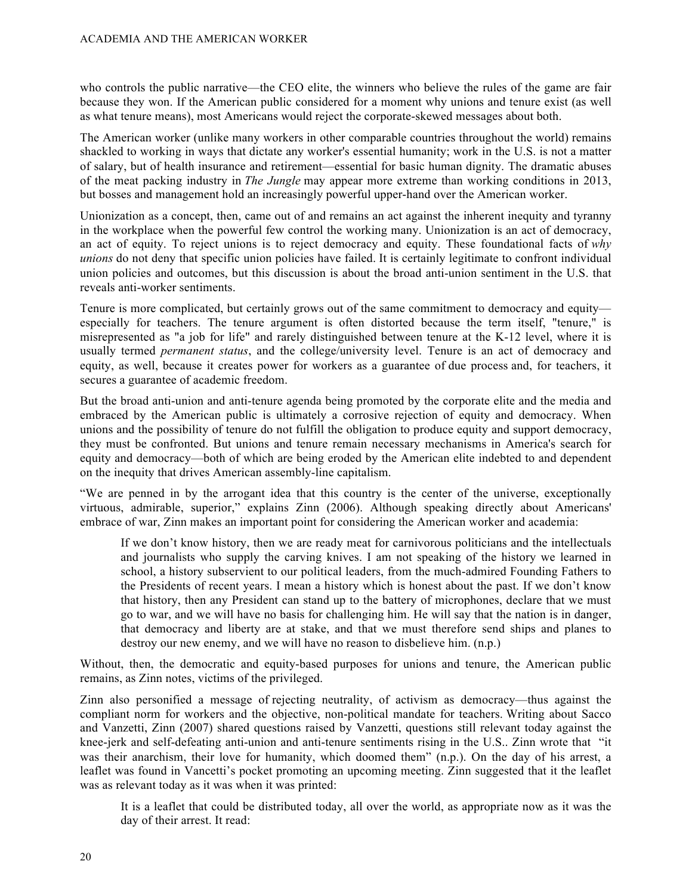who controls the public narrative—the CEO elite, the winners who believe the rules of the game are fair because they won. If the American public considered for a moment why unions and tenure exist (as well as what tenure means), most Americans would reject the corporate-skewed messages about both.

The American worker (unlike many workers in other comparable countries throughout the world) remains shackled to working in ways that dictate any worker's essential humanity; work in the U.S. is not a matter of salary, but of health insurance and retirement—essential for basic human dignity. The dramatic abuses of the meat packing industry in *The Jungle* may appear more extreme than working conditions in 2013, but bosses and management hold an increasingly powerful upper-hand over the American worker.

Unionization as a concept, then, came out of and remains an act against the inherent inequity and tyranny in the workplace when the powerful few control the working many. Unionization is an act of democracy, an act of equity. To reject unions is to reject democracy and equity. These foundational facts of *why unions* do not deny that specific union policies have failed. It is certainly legitimate to confront individual union policies and outcomes, but this discussion is about the broad anti-union sentiment in the U.S. that reveals anti-worker sentiments.

Tenure is more complicated, but certainly grows out of the same commitment to democracy and equity especially for teachers. The tenure argument is often distorted because the term itself, "tenure," is misrepresented as "a job for life" and rarely distinguished between tenure at the K-12 level, where it is usually termed *permanent status*, and the college/university level. Tenure is an act of democracy and equity, as well, because it creates power for workers as a guarantee of due process and, for teachers, it secures a guarantee of academic freedom.

But the broad anti-union and anti-tenure agenda being promoted by the corporate elite and the media and embraced by the American public is ultimately a corrosive rejection of equity and democracy. When unions and the possibility of tenure do not fulfill the obligation to produce equity and support democracy, they must be confronted. But unions and tenure remain necessary mechanisms in America's search for equity and democracy—both of which are being eroded by the American elite indebted to and dependent on the inequity that drives American assembly-line capitalism.

"We are penned in by the arrogant idea that this country is the center of the universe, exceptionally virtuous, admirable, superior," explains Zinn (2006). Although speaking directly about Americans' embrace of war, Zinn makes an important point for considering the American worker and academia:

If we don't know history, then we are ready meat for carnivorous politicians and the intellectuals and journalists who supply the carving knives. I am not speaking of the history we learned in school, a history subservient to our political leaders, from the much-admired Founding Fathers to the Presidents of recent years. I mean a history which is honest about the past. If we don't know that history, then any President can stand up to the battery of microphones, declare that we must go to war, and we will have no basis for challenging him. He will say that the nation is in danger, that democracy and liberty are at stake, and that we must therefore send ships and planes to destroy our new enemy, and we will have no reason to disbelieve him. (n.p.)

Without, then, the democratic and equity-based purposes for unions and tenure, the American public remains, as Zinn notes, victims of the privileged.

Zinn also personified a message of rejecting neutrality, of activism as democracy—thus against the compliant norm for workers and the objective, non-political mandate for teachers. Writing about Sacco and Vanzetti, Zinn (2007) shared questions raised by Vanzetti, questions still relevant today against the knee-jerk and self-defeating anti-union and anti-tenure sentiments rising in the U.S.. Zinn wrote that "it was their anarchism, their love for humanity, which doomed them" (n.p.). On the day of his arrest, a leaflet was found in Vancetti's pocket promoting an upcoming meeting. Zinn suggested that it the leaflet was as relevant today as it was when it was printed:

It is a leaflet that could be distributed today, all over the world, as appropriate now as it was the day of their arrest. It read: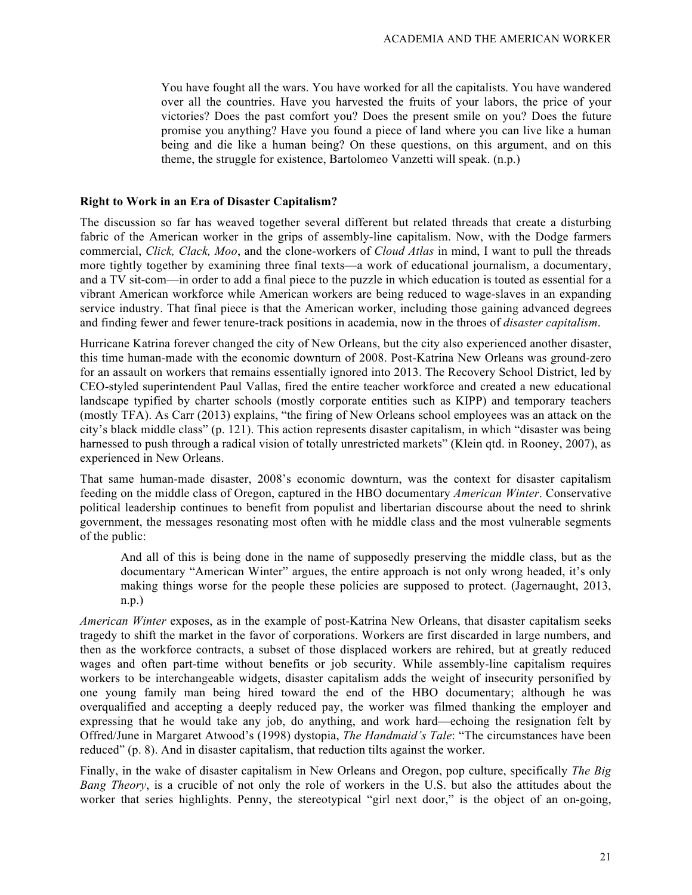You have fought all the wars. You have worked for all the capitalists. You have wandered over all the countries. Have you harvested the fruits of your labors, the price of your victories? Does the past comfort you? Does the present smile on you? Does the future promise you anything? Have you found a piece of land where you can live like a human being and die like a human being? On these questions, on this argument, and on this theme, the struggle for existence, Bartolomeo Vanzetti will speak. (n.p.)

#### **Right to Work in an Era of Disaster Capitalism?**

The discussion so far has weaved together several different but related threads that create a disturbing fabric of the American worker in the grips of assembly-line capitalism. Now, with the Dodge farmers commercial, *Click, Clack, Moo*, and the clone-workers of *Cloud Atlas* in mind, I want to pull the threads more tightly together by examining three final texts—a work of educational journalism, a documentary, and a TV sit-com—in order to add a final piece to the puzzle in which education is touted as essential for a vibrant American workforce while American workers are being reduced to wage-slaves in an expanding service industry. That final piece is that the American worker, including those gaining advanced degrees and finding fewer and fewer tenure-track positions in academia, now in the throes of *disaster capitalism*.

Hurricane Katrina forever changed the city of New Orleans, but the city also experienced another disaster, this time human-made with the economic downturn of 2008. Post-Katrina New Orleans was ground-zero for an assault on workers that remains essentially ignored into 2013. The Recovery School District, led by CEO-styled superintendent Paul Vallas, fired the entire teacher workforce and created a new educational landscape typified by charter schools (mostly corporate entities such as KIPP) and temporary teachers (mostly TFA). As Carr (2013) explains, "the firing of New Orleans school employees was an attack on the city's black middle class" (p. 121). This action represents disaster capitalism, in which "disaster was being harnessed to push through a radical vision of totally unrestricted markets" (Klein qtd. in Rooney, 2007), as experienced in New Orleans.

That same human-made disaster, 2008's economic downturn, was the context for disaster capitalism feeding on the middle class of Oregon, captured in the HBO documentary *American Winter*. Conservative political leadership continues to benefit from populist and libertarian discourse about the need to shrink government, the messages resonating most often with he middle class and the most vulnerable segments of the public:

And all of this is being done in the name of supposedly preserving the middle class, but as the documentary "American Winter" argues, the entire approach is not only wrong headed, it's only making things worse for the people these policies are supposed to protect. (Jagernaught, 2013, n.p.)

*American Winter* exposes, as in the example of post-Katrina New Orleans, that disaster capitalism seeks tragedy to shift the market in the favor of corporations. Workers are first discarded in large numbers, and then as the workforce contracts, a subset of those displaced workers are rehired, but at greatly reduced wages and often part-time without benefits or job security. While assembly-line capitalism requires workers to be interchangeable widgets, disaster capitalism adds the weight of insecurity personified by one young family man being hired toward the end of the HBO documentary; although he was overqualified and accepting a deeply reduced pay, the worker was filmed thanking the employer and expressing that he would take any job, do anything, and work hard—echoing the resignation felt by Offred/June in Margaret Atwood's (1998) dystopia, *The Handmaid's Tale*: "The circumstances have been reduced" (p. 8). And in disaster capitalism, that reduction tilts against the worker.

Finally, in the wake of disaster capitalism in New Orleans and Oregon, pop culture, specifically *The Big Bang Theory*, is a crucible of not only the role of workers in the U.S. but also the attitudes about the worker that series highlights. Penny, the stereotypical "girl next door," is the object of an on-going,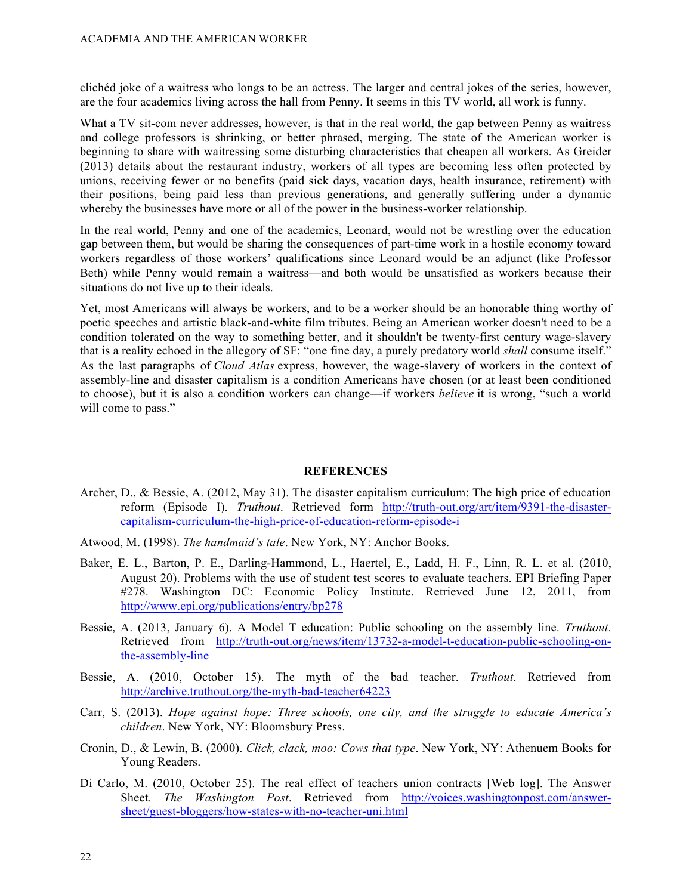clichéd joke of a waitress who longs to be an actress. The larger and central jokes of the series, however, are the four academics living across the hall from Penny. It seems in this TV world, all work is funny.

What a TV sit-com never addresses, however, is that in the real world, the gap between Penny as waitress and college professors is shrinking, or better phrased, merging. The state of the American worker is beginning to share with waitressing some disturbing characteristics that cheapen all workers. As Greider (2013) details about the restaurant industry, workers of all types are becoming less often protected by unions, receiving fewer or no benefits (paid sick days, vacation days, health insurance, retirement) with their positions, being paid less than previous generations, and generally suffering under a dynamic whereby the businesses have more or all of the power in the business-worker relationship.

In the real world, Penny and one of the academics, Leonard, would not be wrestling over the education gap between them, but would be sharing the consequences of part-time work in a hostile economy toward workers regardless of those workers' qualifications since Leonard would be an adjunct (like Professor Beth) while Penny would remain a waitress—and both would be unsatisfied as workers because their situations do not live up to their ideals.

Yet, most Americans will always be workers, and to be a worker should be an honorable thing worthy of poetic speeches and artistic black-and-white film tributes. Being an American worker doesn't need to be a condition tolerated on the way to something better, and it shouldn't be twenty-first century wage-slavery that is a reality echoed in the allegory of SF: "one fine day, a purely predatory world *shall* consume itself." As the last paragraphs of *Cloud Atlas* express, however, the wage-slavery of workers in the context of assembly-line and disaster capitalism is a condition Americans have chosen (or at least been conditioned to choose), but it is also a condition workers can change—if workers *believe* it is wrong, "such a world will come to pass."

#### **REFERENCES**

- Archer, D., & Bessie, A. (2012, May 31). The disaster capitalism curriculum: The high price of education reform (Episode I). *Truthout*. Retrieved form http://truth-out.org/art/item/9391-the-disastercapitalism-curriculum-the-high-price-of-education-reform-episode-i
- Atwood, M. (1998). *The handmaid's tale*. New York, NY: Anchor Books.
- Baker, E. L., Barton, P. E., Darling-Hammond, L., Haertel, E., Ladd, H. F., Linn, R. L. et al. (2010, August 20). Problems with the use of student test scores to evaluate teachers. EPI Briefing Paper #278. Washington DC: Economic Policy Institute. Retrieved June 12, 2011, from http://www.epi.org/publications/entry/bp278
- Bessie, A. (2013, January 6). A Model T education: Public schooling on the assembly line. *Truthout*. Retrieved from http://truth-out.org/news/item/13732-a-model-t-education-public-schooling-onthe-assembly-line
- Bessie, A. (2010, October 15). The myth of the bad teacher. *Truthout*. Retrieved from http://archive.truthout.org/the-myth-bad-teacher64223
- Carr, S. (2013). *Hope against hope: Three schools, one city, and the struggle to educate America's children*. New York, NY: Bloomsbury Press.
- Cronin, D., & Lewin, B. (2000). *Click, clack, moo: Cows that type*. New York, NY: Athenuem Books for Young Readers.
- Di Carlo, M. (2010, October 25). The real effect of teachers union contracts [Web log]. The Answer Sheet. *The Washington Post*. Retrieved from http://voices.washingtonpost.com/answersheet/guest-bloggers/how-states-with-no-teacher-uni.html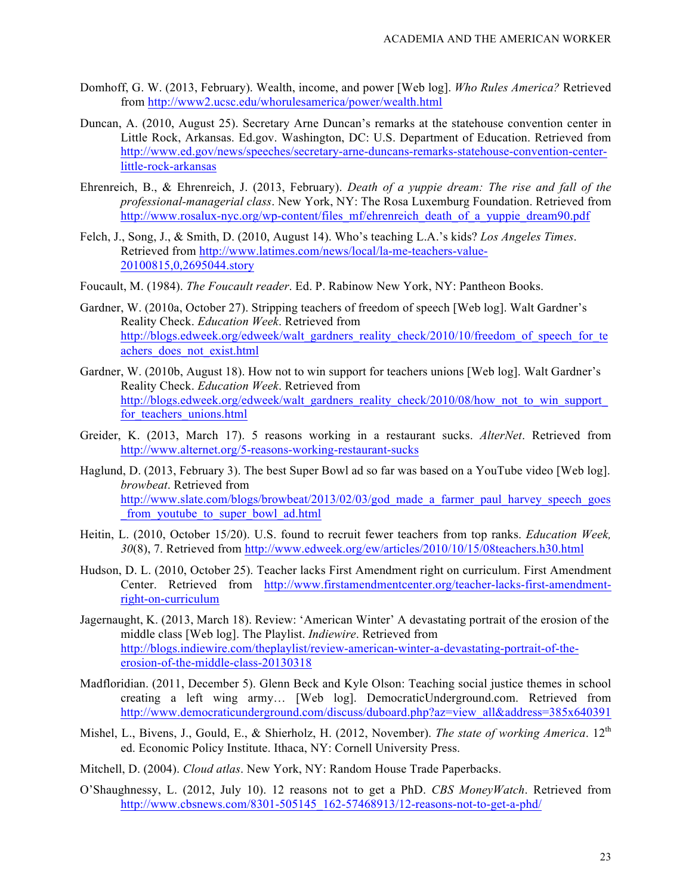- Domhoff, G. W. (2013, February). Wealth, income, and power [Web log]. *Who Rules America?* Retrieved from http://www2.ucsc.edu/whorulesamerica/power/wealth.html
- Duncan, A. (2010, August 25). Secretary Arne Duncan's remarks at the statehouse convention center in Little Rock, Arkansas. Ed.gov. Washington, DC: U.S. Department of Education. Retrieved from http://www.ed.gov/news/speeches/secretary-arne-duncans-remarks-statehouse-convention-centerlittle-rock-arkansas
- Ehrenreich, B., & Ehrenreich, J. (2013, February). *Death of a yuppie dream: The rise and fall of the professional-managerial class*. New York, NY: The Rosa Luxemburg Foundation. Retrieved from http://www.rosalux-nyc.org/wp-content/files\_mf/ehrenreich\_death\_of\_a\_yuppie\_dream90.pdf
- Felch, J., Song, J., & Smith, D. (2010, August 14). Who's teaching L.A.'s kids? *Los Angeles Times*. Retrieved from http://www.latimes.com/news/local/la-me-teachers-value-20100815,0,2695044.story
- Foucault, M. (1984). *The Foucault reader*. Ed. P. Rabinow New York, NY: Pantheon Books.
- Gardner, W. (2010a, October 27). Stripping teachers of freedom of speech [Web log]. Walt Gardner's Reality Check. *Education Week*. Retrieved from http://blogs.edweek.org/edweek/walt\_gardners\_reality\_check/2010/10/freedom\_of\_speech\_for\_te achers\_does\_not\_exist.html
- Gardner, W. (2010b, August 18). How not to win support for teachers unions [Web log]. Walt Gardner's Reality Check. *Education Week*. Retrieved from http://blogs.edweek.org/edweek/walt\_gardners\_reality\_check/2010/08/how\_not\_to\_win\_support for teachers unions.html
- Greider, K. (2013, March 17). 5 reasons working in a restaurant sucks. *AlterNet*. Retrieved from http://www.alternet.org/5-reasons-working-restaurant-sucks
- Haglund, D. (2013, February 3). The best Super Bowl ad so far was based on a YouTube video [Web log]. *browbeat*. Retrieved from http://www.slate.com/blogs/browbeat/2013/02/03/god\_made\_a\_farmer\_paul\_harvey\_speech\_goes from youtube to super bowl ad.html
- Heitin, L. (2010, October 15/20). U.S. found to recruit fewer teachers from top ranks. *Education Week, 30*(8), 7. Retrieved from http://www.edweek.org/ew/articles/2010/10/15/08teachers.h30.html
- Hudson, D. L. (2010, October 25). Teacher lacks First Amendment right on curriculum. First Amendment Center. Retrieved from http://www.firstamendmentcenter.org/teacher-lacks-first-amendmentright-on-curriculum
- Jagernaught, K. (2013, March 18). Review: 'American Winter' A devastating portrait of the erosion of the middle class [Web log]. The Playlist. *Indiewire*. Retrieved from http://blogs.indiewire.com/theplaylist/review-american-winter-a-devastating-portrait-of-theerosion-of-the-middle-class-20130318
- Madfloridian. (2011, December 5). Glenn Beck and Kyle Olson: Teaching social justice themes in school creating a left wing army… [Web log]. DemocraticUnderground.com. Retrieved from http://www.democraticunderground.com/discuss/duboard.php?az=view\_all&address=385x640391
- Mishel, L., Bivens, J., Gould, E., & Shierholz, H. (2012, November). *The state of working America*. 12<sup>th</sup> ed. Economic Policy Institute. Ithaca, NY: Cornell University Press.
- Mitchell, D. (2004). *Cloud atlas*. New York, NY: Random House Trade Paperbacks.
- O'Shaughnessy, L. (2012, July 10). 12 reasons not to get a PhD. *CBS MoneyWatch*. Retrieved from http://www.cbsnews.com/8301-505145\_162-57468913/12-reasons-not-to-get-a-phd/